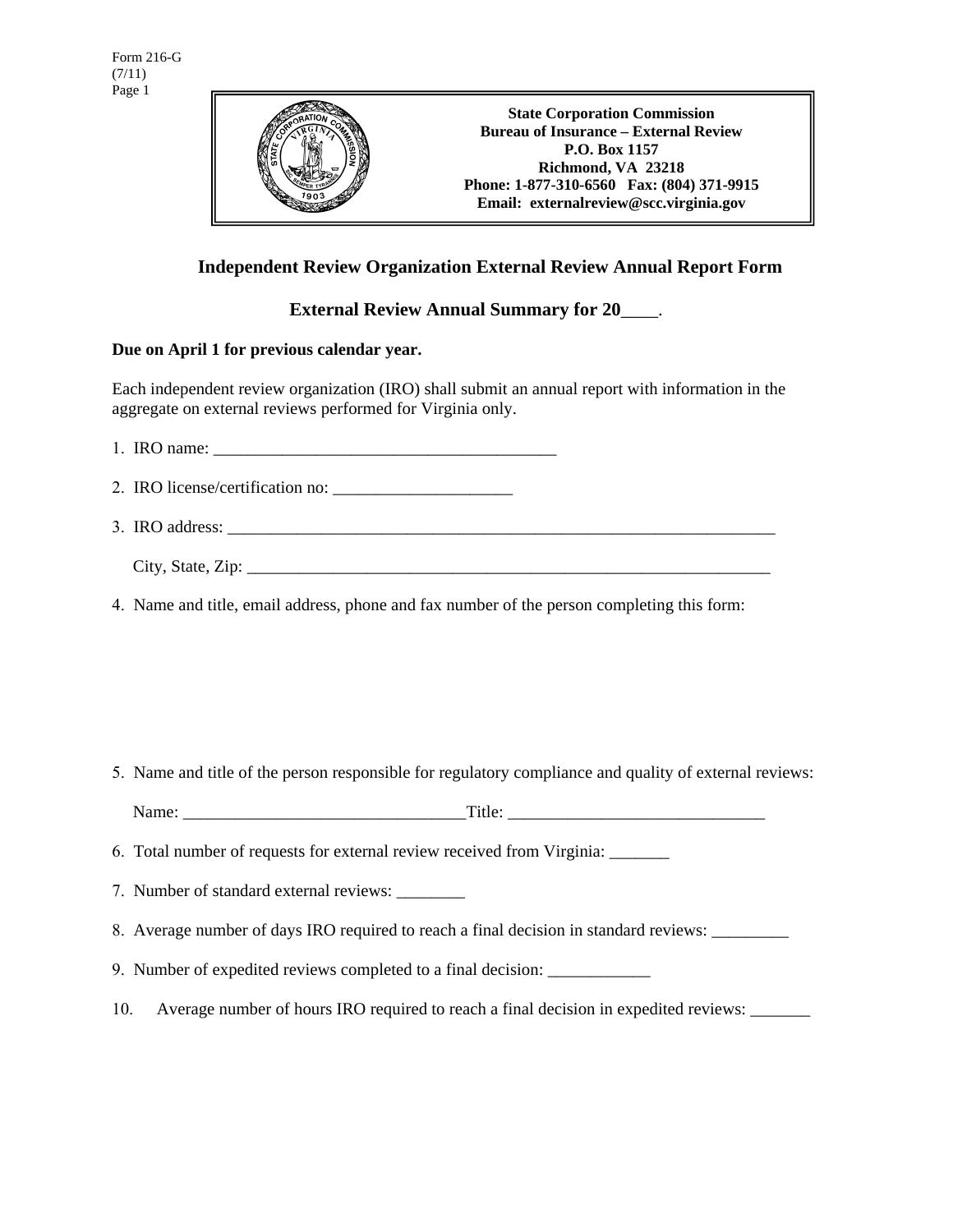

**State Corporation Commission Bureau of Insurance – External Review P.O. Box 1157 Richmond, VA 23218 Phone: 1-877-310-6560 Fax: (804) 371-9915 Email: externalreview@scc.virginia.gov** 

## **Independent Review Organization External Review Annual Report Form**

**External Review Annual Summary for 20**\_\_\_\_.

## **Due on April 1 for previous calendar year.**

Each independent review organization (IRO) shall submit an annual report with information in the aggregate on external reviews performed for Virginia only.

1. IRO name: \_\_\_\_\_\_\_\_\_\_\_\_\_\_\_\_\_\_\_\_\_\_\_\_\_\_\_\_\_\_\_\_\_\_\_\_\_\_\_\_

2. IRO license/certification no: \_\_\_\_\_\_\_\_\_\_\_\_\_\_\_\_\_\_\_\_\_

3. IRO address: \_\_\_\_\_\_\_\_\_\_\_\_\_\_\_\_\_\_\_\_\_\_\_\_\_\_\_\_\_\_\_\_\_\_\_\_\_\_\_\_\_\_\_\_\_\_\_\_\_\_\_\_\_\_\_\_\_\_\_\_\_\_\_\_

 $City, State, Zip:$ 

4. Name and title, email address, phone and fax number of the person completing this form:

5. Name and title of the person responsible for regulatory compliance and quality of external reviews:

Name: Title:

6. Total number of requests for external review received from Virginia: \_\_\_\_\_\_\_

7. Number of standard external reviews: \_\_\_\_\_\_\_\_

8. Average number of days IRO required to reach a final decision in standard reviews: \_\_\_\_\_\_\_\_\_\_\_\_\_\_

9. Number of expedited reviews completed to a final decision:

10. Average number of hours IRO required to reach a final decision in expedited reviews: \_\_\_\_\_\_\_